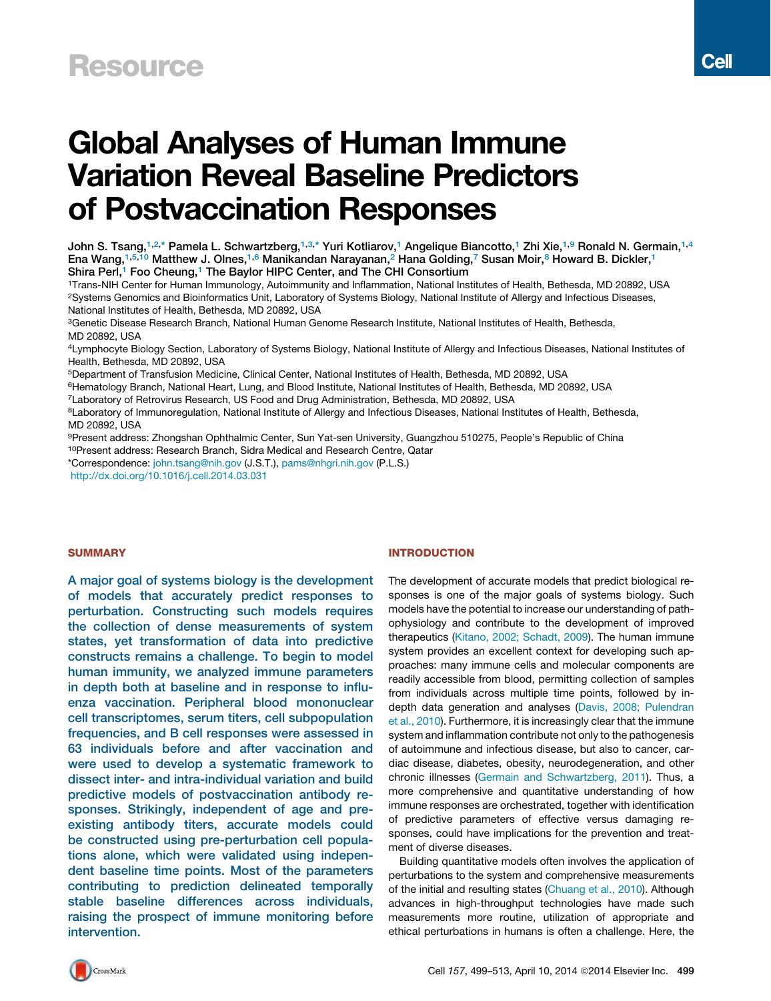# Global Analyses of Human Immune Variation Reveal Baseline Predictors of Postvaccination Responses

<sup>1</sup>Trans-NIH Center for Human Immunology, Autoimmunity and Inflammation, National Institutes of Health, Bethesda, MD 20892, USA <sup>2</sup>Systems Genomics and Bioinformatics Unit, Laboratory of Systems Biology, National Institute of Allergy and Infectious Diseases, National Institutes of Health, Bethesda, MD 20892, USA

<sup>3</sup>Genetic Disease Research Branch, National Human Genome Research Institute, National Institutes of Health, Bethesda, MD 20892, USA

<sup>4</sup>Lymphocyte Biology Section, Laboratory of Systems Biology, National Institute of Allergy and Infectious Diseases, National Institutes of Health, Bethesda, MD 20892, USA

- <sup>5</sup>Department of Transfusion Medicine, Clinical Center, National Institutes of Health, Bethesda, MD 20892, USA
- <sup>6</sup>Hematology Branch, National Heart, Lung, and Blood Institute, National Institutes of Health, Bethesda, MD 20892, USA

<sup>7</sup>Laboratory of Retrovirus Research, US Food and Drug Administration, Bethesda, MD 20892, USA

8Laboratory of Immunoregulation, National Institute of Allergy and Infectious Diseases, National Institutes of Health, Bethesda, MD 20892, USA

<sup>9</sup>Present address: Zhongshan Ophthalmic Center, Sun Yat-sen University, Guangzhou 510275, People's Republic of China

<sup>10</sup>Present address: Research Branch, Sidra Medical and Research Centre, Qatar

\*Correspondence: john.tsang@nih.gov (J.S.T.), pams@nhgri.nih.gov (P.L.S.) http://dx.doi.org/10.1016/j.cell.2014.03.031

# **SUMMARY**

A major goal of systems biology is the development of models that accurately predict responses to perturbation. Constructing such models requires the collection of dense measurements of system states, yet transformation of data into predictive constructs remains a challenge. To begin to model human immunity, we analyzed immune parameters in depth both at baseline and in response to influenza vaccination. Peripheral blood mononuclear cell transcriptomes, serum titers, cell subpopulation frequencies, and B cell responses were assessed in 63 individuals before and after vaccination and were used to develop a systematic framework to dissect inter- and intra-individual variation and build predictive models of postvaccination antibody responses. Strikingly, independent of age and preexisting antibody titers, accurate models could be constructed using pre-perturbation cell populations alone, which were validated using independent baseline time points. Most of the parameters contributing to prediction delineated temporally stable baseline differences across individuals, raising the prospect of immune monitoring before intervention.

#### INTRODUCTION

The development of accurate models that predict biological responses is one of the major goals of systems biology. Such models have the potential to increase our understanding of pathophysiology and contribute to the development of improved therapeutics (Kitano, 2002; Schadt, 2009). The human immune system provides an excellent context for developing such approaches: many immune cells and molecular components are readily accessible from blood, permitting collection of samples from individuals across multiple time points, followed by indepth data generation and analyses (Davis, 2008; Pulendran et al., 2010). Furthermore, it is increasingly clear that the immune system and inflammation contribute not only to the pathogenesis of autoimmune and infectious disease, but also to cancer, cardiac disease, diabetes, obesity, neurodegeneration, and other chronic illnesses (Germain and Schwartzberg, 2011). Thus, a more comprehensive and quantitative understanding of how immune responses are orchestrated, together with identification of predictive parameters of effective versus damaging responses, could have implications for the prevention and treatment of diverse diseases.

Building quantitative models often involves the application of perturbations to the system and comprehensive measurements of the initial and resulting states (Chuang et al., 2010). Although advances in high-throughput technologies have made such measurements more routine, utilization of appropriate and ethical perturbations in humans is often a challenge. Here, the

John S. Tsang,<sup>1,2,\*</sup> Pamela L. Schwartzberg,<sup>1,3,\*</sup> Yuri Kotliarov,<sup>1</sup> Angelique Biancotto,<sup>1</sup> Zhi Xie,<sup>1,9</sup> Ronald N. Germain,<sup>1,4</sup> Ena Wang,<sup>1,5,10</sup> Matthew J. Olnes,<sup>1,6</sup> Manikandan Narayanan,<sup>2</sup> Hana Golding,<sup>7</sup> Susan Moir,<sup>8</sup> Howard B. Dickler,<sup>1</sup> Shira Perl,<sup>1</sup> Foo Cheung,<sup>1</sup> The Baylor HIPC Center, and The CHI Consortium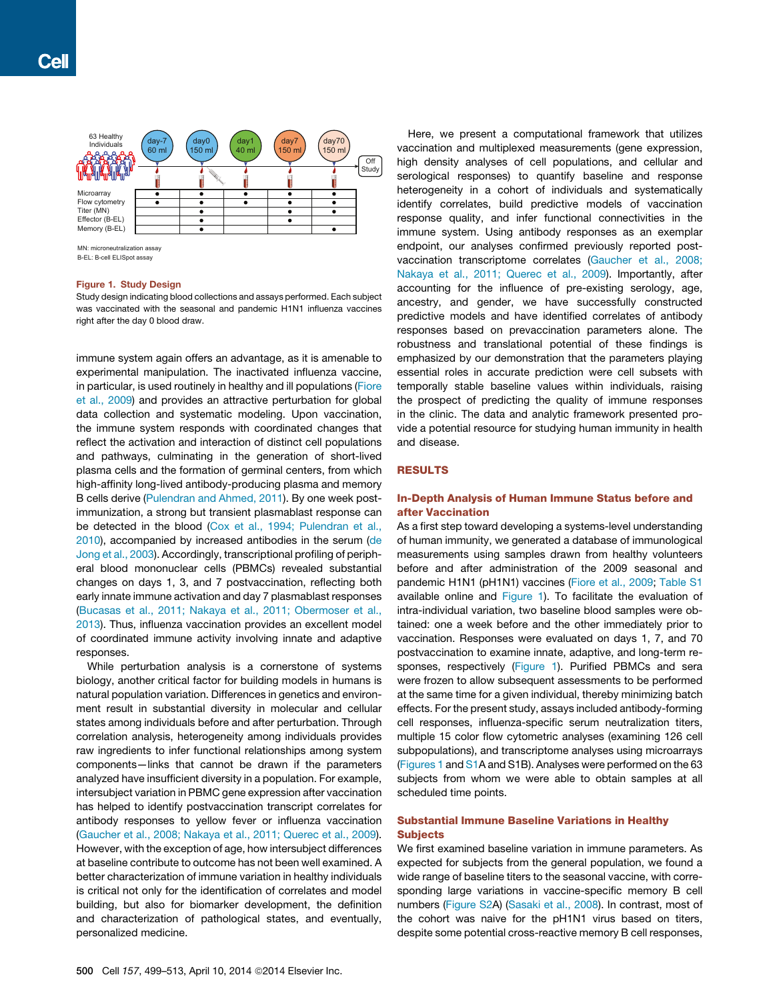

B-EL: B-cell ELISpot assay

## Figure 1. Study Design

Study design indicating blood collections and assays performed. Each subject was vaccinated with the seasonal and pandemic H1N1 influenza vaccines right after the day 0 blood draw.

immune system again offers an advantage, as it is amenable to experimental manipulation. The inactivated influenza vaccine, in particular, is used routinely in healthy and ill populations (Fiore et al., 2009) and provides an attractive perturbation for global data collection and systematic modeling. Upon vaccination, the immune system responds with coordinated changes that reflect the activation and interaction of distinct cell populations and pathways, culminating in the generation of short-lived plasma cells and the formation of germinal centers, from which high-affinity long-lived antibody-producing plasma and memory B cells derive (Pulendran and Ahmed, 2011). By one week postimmunization, a strong but transient plasmablast response can be detected in the blood (Cox et al., 1994; Pulendran et al., 2010), accompanied by increased antibodies in the serum (de Jong et al., 2003). Accordingly, transcriptional profiling of peripheral blood mononuclear cells (PBMCs) revealed substantial changes on days 1, 3, and 7 postvaccination, reflecting both early innate immune activation and day 7 plasmablast responses (Bucasas et al., 2011; Nakaya et al., 2011; Obermoser et al., 2013). Thus, influenza vaccination provides an excellent model of coordinated immune activity involving innate and adaptive responses.

While perturbation analysis is a cornerstone of systems biology, another critical factor for building models in humans is natural population variation. Differences in genetics and environment result in substantial diversity in molecular and cellular states among individuals before and after perturbation. Through correlation analysis, heterogeneity among individuals provides raw ingredients to infer functional relationships among system components—links that cannot be drawn if the parameters analyzed have insufficient diversity in a population. For example, intersubject variation in PBMC gene expression after vaccination has helped to identify postvaccination transcript correlates for antibody responses to yellow fever or influenza vaccination (Gaucher et al., 2008; Nakaya et al., 2011; Querec et al., 2009). However, with the exception of age, how intersubject differences at baseline contribute to outcome has not been well examined. A better characterization of immune variation in healthy individuals is critical not only for the identification of correlates and model building, but also for biomarker development, the definition and characterization of pathological states, and eventually, personalized medicine.

Here, we present a computational framework that utilizes vaccination and multiplexed measurements (gene expression, high density analyses of cell populations, and cellular and serological responses) to quantify baseline and response heterogeneity in a cohort of individuals and systematically identify correlates, build predictive models of vaccination response quality, and infer functional connectivities in the immune system. Using antibody responses as an exemplar endpoint, our analyses confirmed previously reported postvaccination transcriptome correlates (Gaucher et al., 2008; Nakaya et al., 2011; Querec et al., 2009). Importantly, after accounting for the influence of pre-existing serology, age, ancestry, and gender, we have successfully constructed predictive models and have identified correlates of antibody responses based on prevaccination parameters alone. The robustness and translational potential of these findings is emphasized by our demonstration that the parameters playing essential roles in accurate prediction were cell subsets with temporally stable baseline values within individuals, raising the prospect of predicting the quality of immune responses in the clinic. The data and analytic framework presented provide a potential resource for studying human immunity in health and disease.

## RESULTS

# In-Depth Analysis of Human Immune Status before and after Vaccination

As a first step toward developing a systems-level understanding of human immunity, we generated a database of immunological measurements using samples drawn from healthy volunteers before and after administration of the 2009 seasonal and pandemic H1N1 (pH1N1) vaccines (Fiore et al., 2009; Table S1 available online and Figure 1). To facilitate the evaluation of intra-individual variation, two baseline blood samples were obtained: one a week before and the other immediately prior to vaccination. Responses were evaluated on days 1, 7, and 70 postvaccination to examine innate, adaptive, and long-term responses, respectively (Figure 1). Purified PBMCs and sera were frozen to allow subsequent assessments to be performed at the same time for a given individual, thereby minimizing batch effects. For the present study, assays included antibody-forming cell responses, influenza-specific serum neutralization titers, multiple 15 color flow cytometric analyses (examining 126 cell subpopulations), and transcriptome analyses using microarrays (Figures 1 and S1A and S1B). Analyses were performed on the 63 subjects from whom we were able to obtain samples at all scheduled time points.

## Substantial Immune Baseline Variations in Healthy **Subjects**

We first examined baseline variation in immune parameters. As expected for subjects from the general population, we found a wide range of baseline titers to the seasonal vaccine, with corresponding large variations in vaccine-specific memory B cell numbers (Figure S2A) (Sasaki et al., 2008). In contrast, most of the cohort was naive for the pH1N1 virus based on titers, despite some potential cross-reactive memory B cell responses,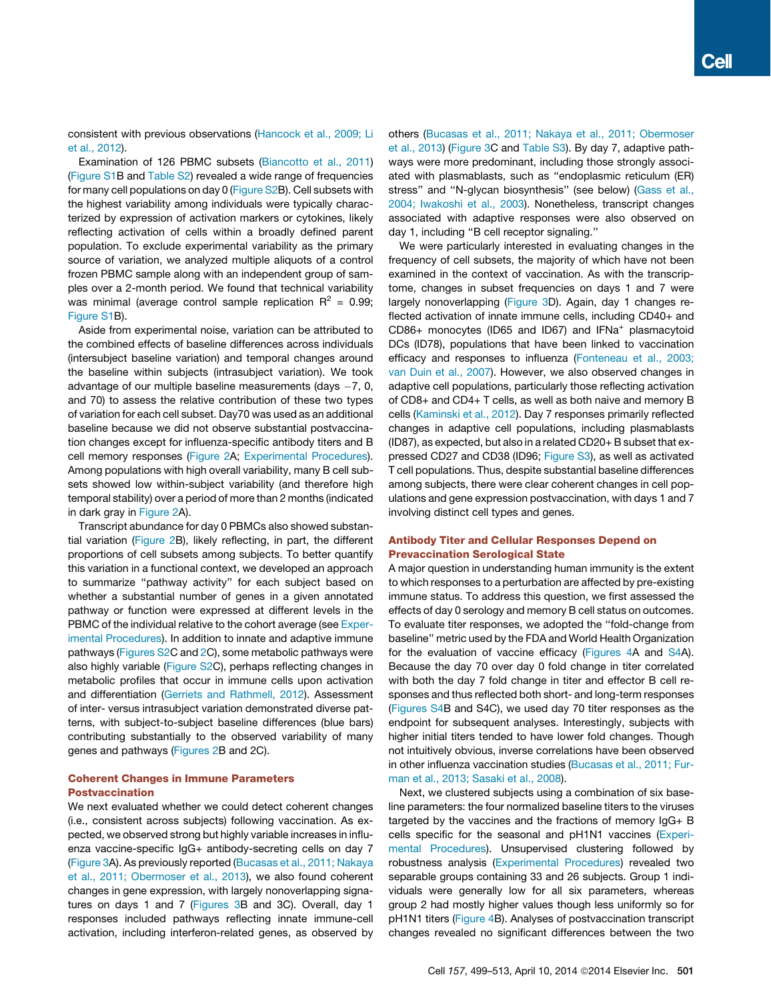consistent with previous observations (Hancock et al., 2009; Li et al., 2012).

Examination of 126 PBMC subsets (Biancotto et al., 2011) (Figure S1B and Table S2) revealed a wide range of frequencies for many cell populations on day 0 (Figure S2B). Cell subsets with the highest variability among individuals were typically characterized by expression of activation markers or cytokines, likely reflecting activation of cells within a broadly defined parent population. To exclude experimental variability as the primary source of variation, we analyzed multiple aliquots of a control frozen PBMC sample along with an independent group of samples over a 2-month period. We found that technical variability was minimal (average control sample replication  $R^2 = 0.99$ ; Figure S1B).

Aside from experimental noise, variation can be attributed to the combined effects of baseline differences across individuals (intersubject baseline variation) and temporal changes around the baseline within subjects (intrasubject variation). We took advantage of our multiple baseline measurements (days  $-7$ , 0, and 70) to assess the relative contribution of these two types of variation for each cell subset. Day70 was used as an additional baseline because we did not observe substantial postvaccination changes except for influenza-specific antibody titers and B cell memory responses (Figure 2A; Experimental Procedures). Among populations with high overall variability, many B cell subsets showed low within-subject variability (and therefore high temporal stability) over a period of more than 2 months (indicated in dark gray in Figure 2A).

Transcript abundance for day 0 PBMCs also showed substantial variation (Figure 2B), likely reflecting, in part, the different proportions of cell subsets among subjects. To better quantify this variation in a functional context, we developed an approach to summarize ''pathway activity'' for each subject based on whether a substantial number of genes in a given annotated pathway or function were expressed at different levels in the PBMC of the individual relative to the cohort average (see Experimental Procedures). In addition to innate and adaptive immune pathways (Figures S2C and 2C), some metabolic pathways were also highly variable (Figure S2C), perhaps reflecting changes in metabolic profiles that occur in immune cells upon activation and differentiation (Gerriets and Rathmell, 2012). Assessment of inter- versus intrasubject variation demonstrated diverse patterns, with subject-to-subject baseline differences (blue bars) contributing substantially to the observed variability of many genes and pathways (Figures 2B and 2C).

# Coherent Changes in Immune Parameters Postvaccination

We next evaluated whether we could detect coherent changes (i.e., consistent across subjects) following vaccination. As expected, we observed strong but highly variable increases in influenza vaccine-specific IgG+ antibody-secreting cells on day 7 (Figure 3A). As previously reported (Bucasas et al., 2011; Nakaya et al., 2011; Obermoser et al., 2013), we also found coherent changes in gene expression, with largely nonoverlapping signatures on days 1 and 7 (Figures 3B and 3C). Overall, day 1 responses included pathways reflecting innate immune-cell activation, including interferon-related genes, as observed by

others (Bucasas et al., 2011; Nakaya et al., 2011; Obermoser et al., 2013) (Figure 3C and Table S3). By day 7, adaptive pathways were more predominant, including those strongly associated with plasmablasts, such as ''endoplasmic reticulum (ER) stress'' and ''N-glycan biosynthesis'' (see below) (Gass et al., 2004; Iwakoshi et al., 2003). Nonetheless, transcript changes associated with adaptive responses were also observed on day 1, including ''B cell receptor signaling.''

We were particularly interested in evaluating changes in the frequency of cell subsets, the majority of which have not been examined in the context of vaccination. As with the transcriptome, changes in subset frequencies on days 1 and 7 were largely nonoverlapping (Figure 3D). Again, day 1 changes reflected activation of innate immune cells, including CD40+ and CD86+ monocytes (ID65 and ID67) and IFNa<sup>+</sup> plasmacytoid DCs (ID78), populations that have been linked to vaccination efficacy and responses to influenza (Fonteneau et al., 2003; van Duin et al., 2007). However, we also observed changes in adaptive cell populations, particularly those reflecting activation of CD8+ and CD4+ T cells, as well as both naive and memory B cells (Kaminski et al., 2012). Day 7 responses primarily reflected changes in adaptive cell populations, including plasmablasts (ID87), as expected, but also in a related CD20+ B subset that expressed CD27 and CD38 (ID96; Figure S3), as well as activated T cell populations. Thus, despite substantial baseline differences among subjects, there were clear coherent changes in cell populations and gene expression postvaccination, with days 1 and 7 involving distinct cell types and genes.

# Antibody Titer and Cellular Responses Depend on Prevaccination Serological State

A major question in understanding human immunity is the extent to which responses to a perturbation are affected by pre-existing immune status. To address this question, we first assessed the effects of day 0 serology and memory B cell status on outcomes. To evaluate titer responses, we adopted the ''fold-change from baseline'' metric used by the FDA and World Health Organization for the evaluation of vaccine efficacy (Figures 4A and S4A). Because the day 70 over day 0 fold change in titer correlated with both the day 7 fold change in titer and effector B cell responses and thus reflected both short- and long-term responses (Figures S4B and S4C), we used day 70 titer responses as the endpoint for subsequent analyses. Interestingly, subjects with higher initial titers tended to have lower fold changes. Though not intuitively obvious, inverse correlations have been observed in other influenza vaccination studies (Bucasas et al., 2011; Furman et al., 2013; Sasaki et al., 2008).

Next, we clustered subjects using a combination of six baseline parameters: the four normalized baseline titers to the viruses targeted by the vaccines and the fractions of memory IgG+ B cells specific for the seasonal and pH1N1 vaccines (Experimental Procedures). Unsupervised clustering followed by robustness analysis (Experimental Procedures) revealed two separable groups containing 33 and 26 subjects. Group 1 individuals were generally low for all six parameters, whereas group 2 had mostly higher values though less uniformly so for pH1N1 titers (Figure 4B). Analyses of postvaccination transcript changes revealed no significant differences between the two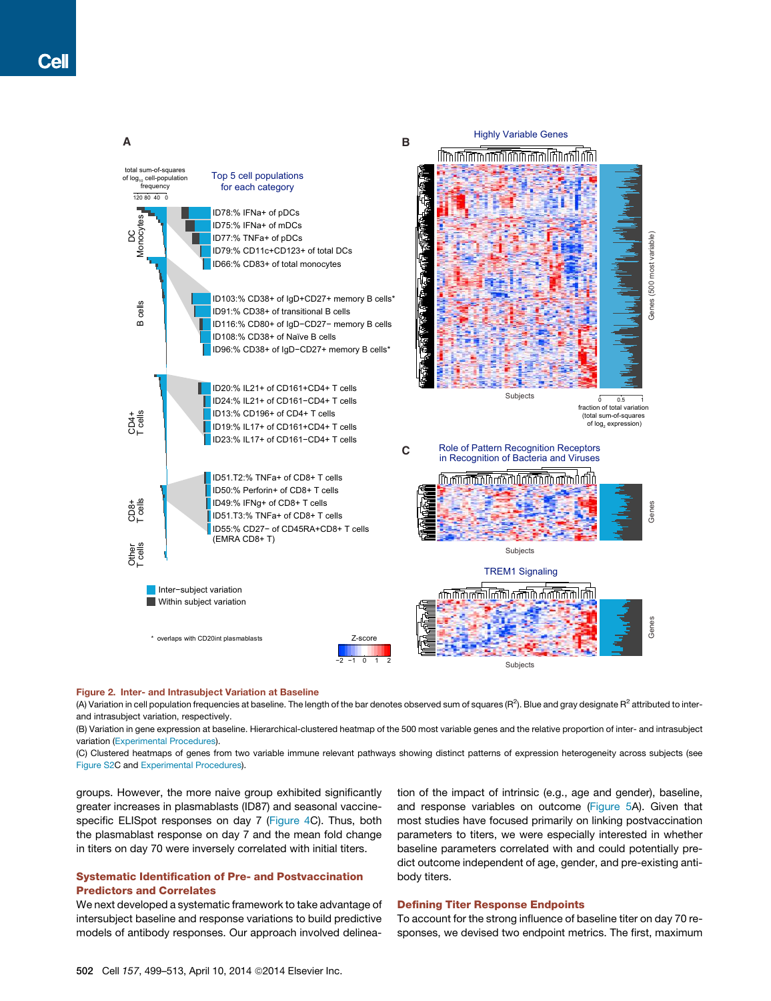

#### Figure 2. Inter- and Intrasubject Variation at Baseline

(A) Variation in cell population frequencies at baseline. The length of the bar denotes observed sum of squares (R<sup>2</sup>). Blue and gray designate R<sup>2</sup> attributed to interand intrasubject variation, respectively.

(B) Variation in gene expression at baseline. Hierarchical-clustered heatmap of the 500 most variable genes and the relative proportion of inter- and intrasubject variation (Experimental Procedures).

(C) Clustered heatmaps of genes from two variable immune relevant pathways showing distinct patterns of expression heterogeneity across subjects (see Figure S2C and Experimental Procedures).

groups. However, the more naive group exhibited significantly greater increases in plasmablasts (ID87) and seasonal vaccinespecific ELISpot responses on day 7 (Figure 4C). Thus, both the plasmablast response on day 7 and the mean fold change in titers on day 70 were inversely correlated with initial titers.

# Systematic Identification of Pre- and Postvaccination Predictors and Correlates

We next developed a systematic framework to take advantage of intersubject baseline and response variations to build predictive models of antibody responses. Our approach involved delineation of the impact of intrinsic (e.g., age and gender), baseline, and response variables on outcome (Figure 5A). Given that most studies have focused primarily on linking postvaccination parameters to titers, we were especially interested in whether baseline parameters correlated with and could potentially predict outcome independent of age, gender, and pre-existing antibody titers.

# Defining Titer Response Endpoints

To account for the strong influence of baseline titer on day 70 responses, we devised two endpoint metrics. The first, maximum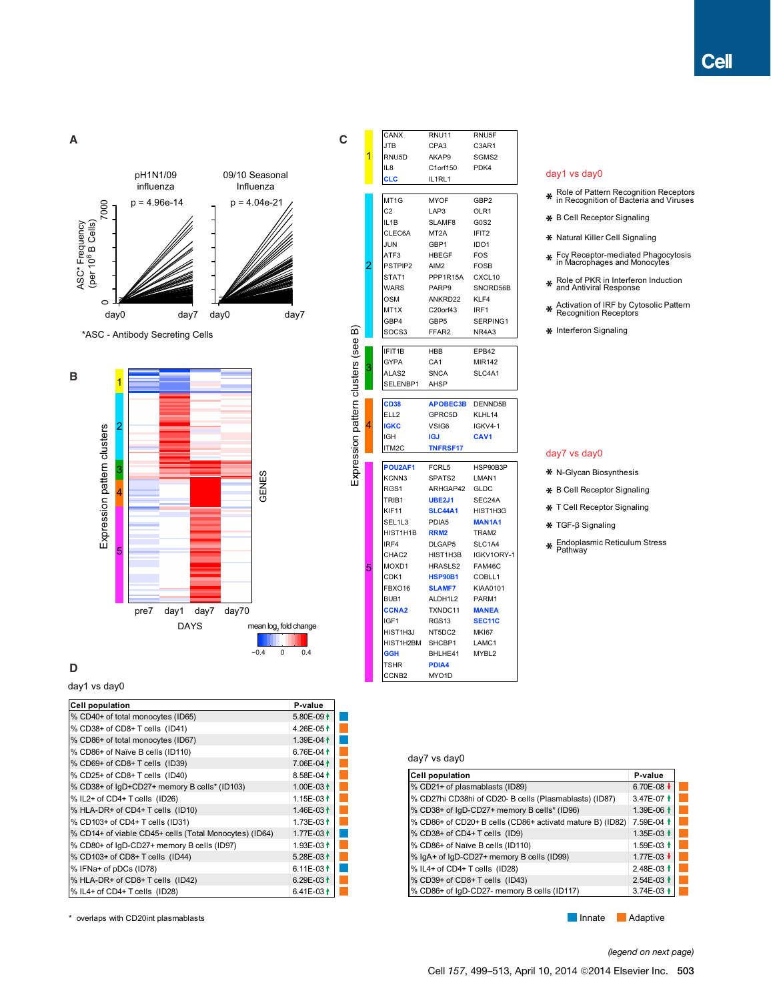

# **D**

## day1 vs day0

| <b>Cell population</b>                                 | P-value               |  |
|--------------------------------------------------------|-----------------------|--|
| % CD40+ of total monocytes (ID65)                      | 5.80E-09 $\dagger$    |  |
| % CD38+ of CD8+ T cells (ID41)                         | 4.26E-05 <sup>+</sup> |  |
| % CD86+ of total monocytes (ID67)                      | 1.39E-04 <sup>+</sup> |  |
| % CD86+ of Naïve B cells (ID110)                       | 6.76E-04 $\uparrow$   |  |
| % CD69+ of CD8+ T cells (ID39)                         | 7.06E-04 <sup>+</sup> |  |
| % CD25+ of CD8+ T cells (ID40)                         | 8.58E-04 <sup>+</sup> |  |
| % CD38+ of IgD+CD27+ memory B cells* (ID103)           | 1.00E-03 <sup>+</sup> |  |
| % IL2+ of CD4+ T cells (ID26)                          | 1.15E-03 $\dagger$    |  |
| % HLA-DR+ of CD4+ T cells (ID10)                       | 1.46E-03 <sup>+</sup> |  |
| % CD103+ of CD4+ T cells (ID31)                        | 1.73E-03 <sup>+</sup> |  |
| % CD14+ of viable CD45+ cells (Total Monocytes) (ID64) | 1.77E-03 <sup>+</sup> |  |
| % CD80+ of IgD-CD27+ memory B cells (ID97)             | 1.93E-03 <sup>+</sup> |  |
| % CD103+ of CD8+ T cells (ID44)                        | 5.28E-03 <sup>1</sup> |  |
| % IFNa+ of pDCs (ID78)                                 | 6.11E-03 $\dagger$    |  |
| % HLA-DR+ of CD8+ T cells (ID42)                       | 6.29E-03 $\uparrow$   |  |
| % IL4+ of CD4+ T cells (ID28)                          | 6.41E-03 <sup>+</sup> |  |

\* overlaps with CD20int plasmablasts **Intervention Controller and Controller** Adaptive **Innate** Adaptive

|                               | CANX              | RNU11             | RNU5F                         |
|-------------------------------|-------------------|-------------------|-------------------------------|
|                               | JTB               | CPA3              | C3AR1                         |
| 1                             | RNU5D             | AKAP9             | SGMS2                         |
|                               | IL8               | C1orf150          | PDK4                          |
|                               | <b>CLC</b>        | IL1RL1            |                               |
|                               |                   |                   |                               |
|                               | MT1G              | MYOF              | GBP2                          |
|                               | C <sub>2</sub>    | LAP3              | OLR1                          |
|                               | IL1B              | SLAMF8            | G <sub>0</sub> S <sub>2</sub> |
|                               | CLEC6A            | MT <sub>2</sub> A | IFIT <sub>2</sub>             |
|                               | JUN               | GBP1              | IDO <sub>1</sub>              |
|                               | ATF3              | HBEGF             | <b>FOS</b>                    |
| $\overline{2}$                | PSTPIP2           | AIM2              | <b>FOSB</b>                   |
|                               | STAT1             | PPP1R15A CXCL10   |                               |
|                               | WARS              | PARP9             | SNORD56B                      |
|                               | <b>OSM</b>        | ANKRD22           | KLF4                          |
|                               | MT1X              | C20orf43          | IRF1                          |
|                               | GBP4              | GBP <sub>5</sub>  | SERPING1                      |
| ഁ                             | SOCS3             | FFAR2             | NR4A3                         |
| ression pattern clusters (see | IFIT1B            | HBB               | EPB42                         |
|                               | GYPA              | CA <sub>1</sub>   | <b>MIR142</b>                 |
| 3                             | ALAS2             | <b>SNCA</b>       | SLC4A1                        |
|                               | SELENBP1          | AHSP              |                               |
|                               |                   |                   |                               |
|                               | <b>CD38</b>       | APOBEC3B DENND5B  |                               |
|                               | ELL <sub>2</sub>  | GPRC5D            | KLHL14                        |
| 4                             | <b>IGKC</b>       | VSIG6             | IGKV4-1                       |
|                               | <b>IGH</b>        | <b>IGJ</b>        | CAV <sub>1</sub>              |
|                               | ITM2C             | <b>TNFRSF17</b>   |                               |
|                               | POU2AF1           | FCRL5             | HSP90B3P                      |
|                               | KCNN3             | SPATS2            | LMAN1                         |
|                               | RGS1              | ARHGAP42          | GLDC                          |
|                               | TRIB1             | <b>UBE2J1</b>     | SEC24A                        |
|                               | KIF11             | <b>SLC44A1</b>    | HIST1H3G                      |
|                               | SEL1L3            | PDIA5             | <b>MAN1A1</b>                 |
|                               | HIST1H1B          | RRM <sub>2</sub>  | TRAM2                         |
|                               | IRF4              | DLGAP5            | SLC1A4                        |
|                               | CHAC2             | HIST1H3B          | IGKV1ORY-1                    |
| 5                             | MOXD1             | HRASLS2           | FAM46C                        |
|                               | CDK1              | HSP90B1           | COBLL1                        |
|                               | FBXO16            | <b>SLAMF7</b>     | <b>KIAA0101</b>               |
|                               | BUB1              | ALDH1L2           | PARM1                         |
|                               | <b>CCNA2</b>      | TXNDC11           | <b>MANEA</b>                  |
|                               | IGF1              | RGS <sub>13</sub> | SEC11C                        |
|                               | HIST1H3J          | NT5DC2            | <b>MKI67</b>                  |
|                               | HIST1H2BM         | SHCBP1            | LAMC1                         |
|                               | <b>GGH</b>        | BHLHE41           | MYBL2                         |
|                               | <b>TSHR</b>       | PDIA4             |                               |
|                               | CCNB <sub>2</sub> | MYO1D             |                               |

# day1 vs day0

- Role of Pattern Recognition Receptors in Recognition of Bacteria and Viruses **\***
- **\*** B Cell Receptor Signaling
- Natural Killer Cell Signaling **\***
- Fcγ Receptor-mediated Phagocytosis in Macrophages and Monocytes **\***
- Role of PKR in Interferon Induction and Antiviral Response **\***
- Activation of IRF by Cytosolic Pattern Recognition Receptors **\***
- Interferon Signaling **\***

## day7 vs day0

- N-Glycan Biosynthesis **\***
- B Cell Receptor Signaling **\***
- T Cell Receptor Signaling **\***
- TGF-β Signaling **\***
- Endoplasmic Reticulum Stress Pathway **\***

# day7 vs day0

| <b>Cell population</b>                                    | P-value               |  |
|-----------------------------------------------------------|-----------------------|--|
| % CD21+ of plasmablasts (ID89)                            | 6.70E-08              |  |
| % CD27hi CD38hi of CD20- B cells (Plasmablasts) (ID87)    | 3.47E-07 <sup>+</sup> |  |
| % CD38+ of IgD-CD27+ memory B cells* (ID96)               | 1.39E-06 1            |  |
| % CD86+ of CD20+ B cells (CD86+ activatd mature B) (ID82) | 7.59E-04 <sup>+</sup> |  |
| % CD38+ of CD4+ T cells (ID9)                             | 1.35E-03 <sup>↑</sup> |  |
| % CD86+ of Naïve B cells (ID110)                          | 1.59E-03 <sup>↑</sup> |  |
| % IgA+ of IgD-CD27+ memory B cells (ID99)                 | 1.77E-03 ↓            |  |
| % IL4+ of CD4+ T cells (ID28)                             | 2.48E-03 <sup>+</sup> |  |
| % CD39+ of CD8+ T cells (ID43)                            | 2.54E-03 <sup>↑</sup> |  |
| % CD86+ of IgD-CD27- memory B cells (ID117)               | 3.74E-03              |  |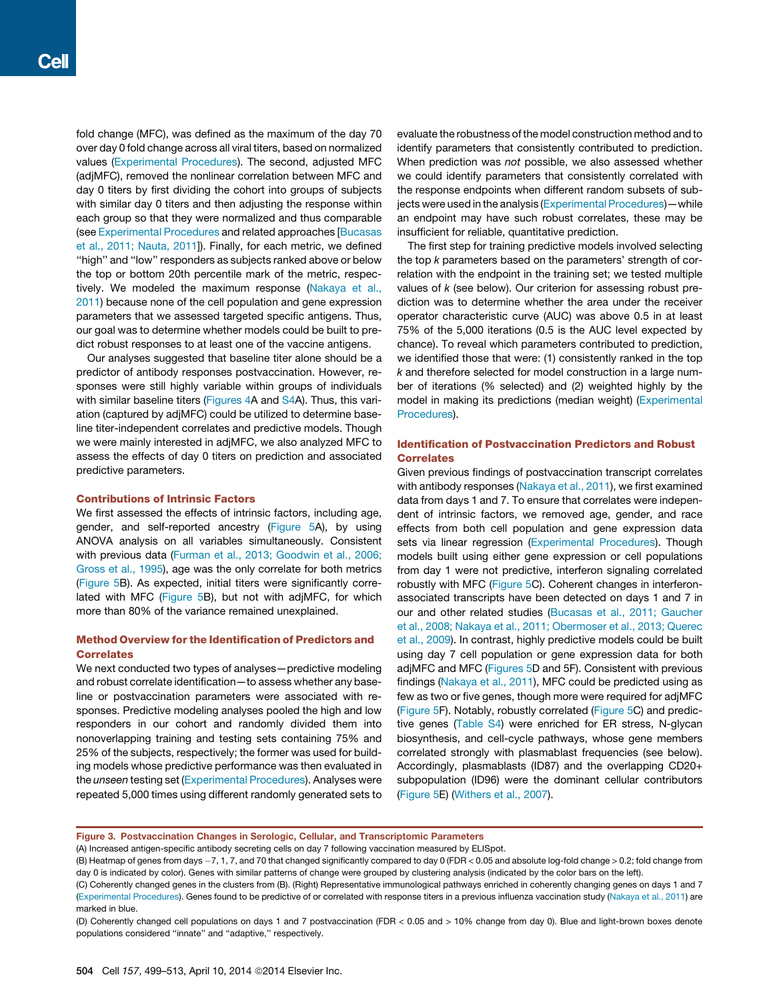fold change (MFC), was defined as the maximum of the day 70 over day 0 fold change across all viral titers, based on normalized values (Experimental Procedures). The second, adjusted MFC (adjMFC), removed the nonlinear correlation between MFC and day 0 titers by first dividing the cohort into groups of subjects with similar day 0 titers and then adjusting the response within each group so that they were normalized and thus comparable (see Experimental Procedures and related approaches [Bucasas et al., 2011; Nauta, 2011]). Finally, for each metric, we defined ''high'' and ''low'' responders as subjects ranked above or below the top or bottom 20th percentile mark of the metric, respectively. We modeled the maximum response (Nakaya et al., 2011) because none of the cell population and gene expression parameters that we assessed targeted specific antigens. Thus, our goal was to determine whether models could be built to predict robust responses to at least one of the vaccine antigens.

Our analyses suggested that baseline titer alone should be a predictor of antibody responses postvaccination. However, responses were still highly variable within groups of individuals with similar baseline titers (Figures 4A and S4A). Thus, this variation (captured by adjMFC) could be utilized to determine baseline titer-independent correlates and predictive models. Though we were mainly interested in adjMFC, we also analyzed MFC to assess the effects of day 0 titers on prediction and associated predictive parameters.

#### Contributions of Intrinsic Factors

We first assessed the effects of intrinsic factors, including age, gender, and self-reported ancestry (Figure 5A), by using ANOVA analysis on all variables simultaneously. Consistent with previous data (Furman et al., 2013; Goodwin et al., 2006; Gross et al., 1995), age was the only correlate for both metrics (Figure 5B). As expected, initial titers were significantly correlated with MFC (Figure 5B), but not with adjMFC, for which more than 80% of the variance remained unexplained.

# Method Overview for the Identification of Predictors and Correlates

We next conducted two types of analyses—predictive modeling and robust correlate identification—to assess whether any baseline or postvaccination parameters were associated with responses. Predictive modeling analyses pooled the high and low responders in our cohort and randomly divided them into nonoverlapping training and testing sets containing 75% and 25% of the subjects, respectively; the former was used for building models whose predictive performance was then evaluated in the *unseen* testing set (Experimental Procedures). Analyses were repeated 5,000 times using different randomly generated sets to

evaluate the robustness of the model construction method and to identify parameters that consistently contributed to prediction. When prediction was *not* possible, we also assessed whether we could identify parameters that consistently correlated with the response endpoints when different random subsets of subjects were used in the analysis (Experimental Procedures)—while an endpoint may have such robust correlates, these may be insufficient for reliable, quantitative prediction.

The first step for training predictive models involved selecting the top *k* parameters based on the parameters' strength of correlation with the endpoint in the training set; we tested multiple values of *k* (see below). Our criterion for assessing robust prediction was to determine whether the area under the receiver operator characteristic curve (AUC) was above 0.5 in at least 75% of the 5,000 iterations (0.5 is the AUC level expected by chance). To reveal which parameters contributed to prediction, we identified those that were: (1) consistently ranked in the top *k* and therefore selected for model construction in a large number of iterations (% selected) and (2) weighted highly by the model in making its predictions (median weight) (Experimental Procedures).

# Identification of Postvaccination Predictors and Robust **Correlates**

Given previous findings of postvaccination transcript correlates with antibody responses (Nakaya et al., 2011), we first examined data from days 1 and 7. To ensure that correlates were independent of intrinsic factors, we removed age, gender, and race effects from both cell population and gene expression data sets via linear regression (Experimental Procedures). Though models built using either gene expression or cell populations from day 1 were not predictive, interferon signaling correlated robustly with MFC (Figure 5C). Coherent changes in interferonassociated transcripts have been detected on days 1 and 7 in our and other related studies (Bucasas et al., 2011; Gaucher et al., 2008; Nakaya et al., 2011; Obermoser et al., 2013; Querec et al., 2009). In contrast, highly predictive models could be built using day 7 cell population or gene expression data for both adjMFC and MFC (Figures 5D and 5F). Consistent with previous findings (Nakaya et al., 2011), MFC could be predicted using as few as two or five genes, though more were required for adjMFC (Figure 5F). Notably, robustly correlated (Figure 5C) and predictive genes (Table S4) were enriched for ER stress, N-glycan biosynthesis, and cell-cycle pathways, whose gene members correlated strongly with plasmablast frequencies (see below). Accordingly, plasmablasts (ID87) and the overlapping CD20+ subpopulation (ID96) were the dominant cellular contributors (Figure 5E) (Withers et al., 2007).

Figure 3. Postvaccination Changes in Serologic, Cellular, and Transcriptomic Parameters

(A) Increased antigen-specific antibody secreting cells on day 7 following vaccination measured by ELISpot.

(B) Heatmap of genes from days -7, 1, 7, and 70 that changed significantly compared to day 0 (FDR < 0.05 and absolute log-fold change > 0.2; fold change from day 0 is indicated by color). Genes with similar patterns of change were grouped by clustering analysis (indicated by the color bars on the left).

(C) Coherently changed genes in the clusters from (B). (Right) Representative immunological pathways enriched in coherently changing genes on days 1 and 7 (Experimental Procedures). Genes found to be predictive of or correlated with response titers in a previous influenza vaccination study (Nakaya et al., 2011) are marked in blue.

(D) Coherently changed cell populations on days 1 and 7 postvaccination (FDR < 0.05 and > 10% change from day 0). Blue and light-brown boxes denote populations considered ''innate'' and ''adaptive,'' respectively.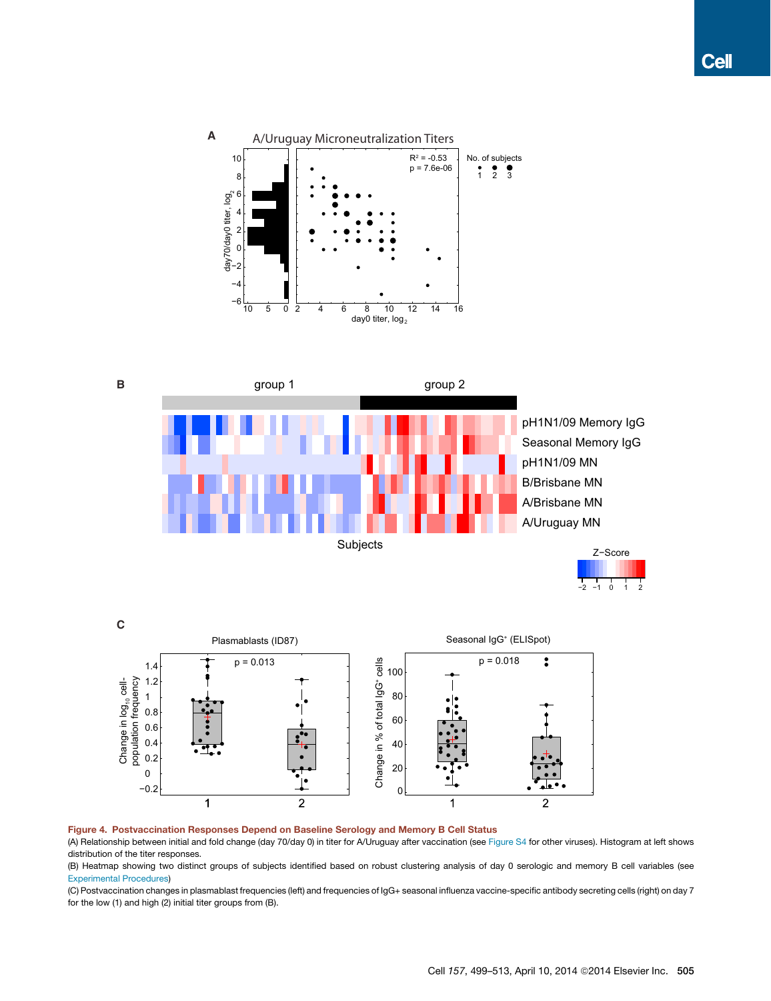





#### Figure 4. Postvaccination Responses Depend on Baseline Serology and Memory B Cell Status

(A) Relationship between initial and fold change (day 70/day 0) in titer for A/Uruguay after vaccination (see Figure S4 for other viruses). Histogram at left shows distribution of the titer responses.

(B) Heatmap showing two distinct groups of subjects identified based on robust clustering analysis of day 0 serologic and memory B cell variables (see Experimental Procedures)

(C) Postvaccination changes in plasmablast frequencies (left) and frequencies of IgG+ seasonal influenza vaccine-specific antibody secreting cells (right) on day 7 for the low (1) and high (2) initial titer groups from (B).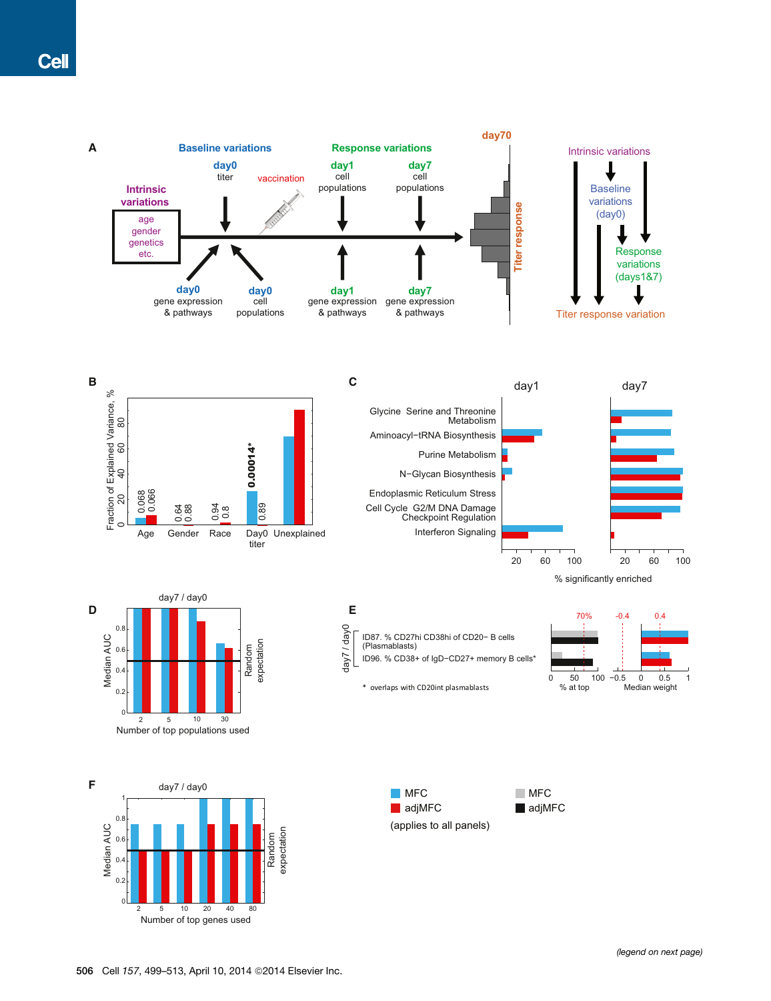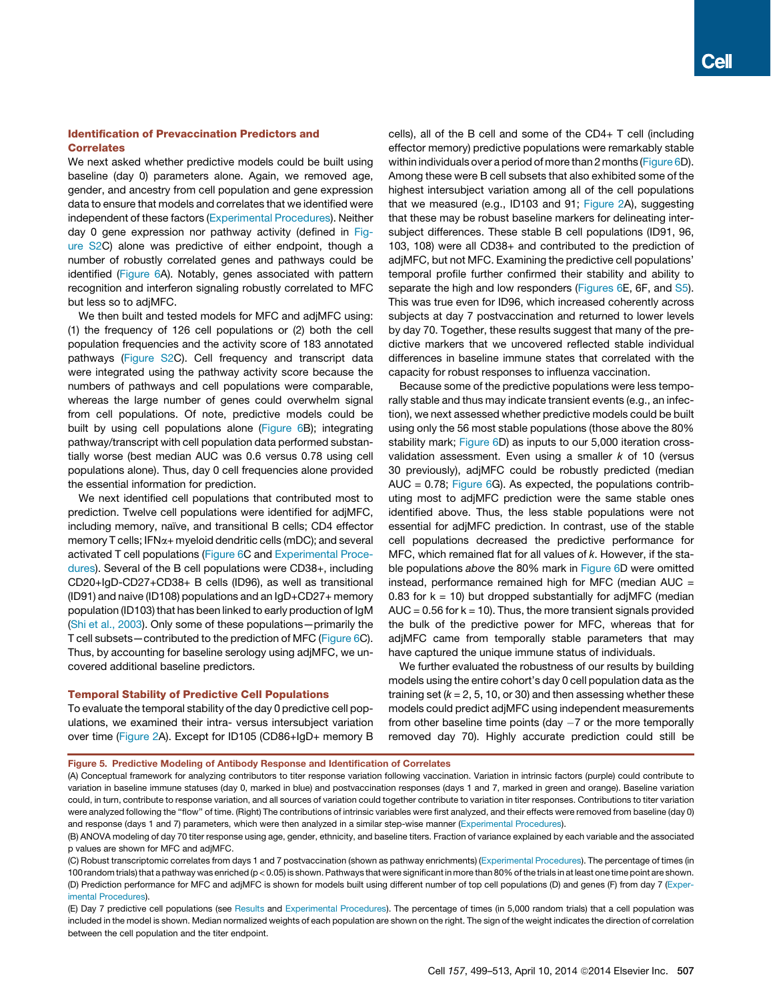# Identification of Prevaccination Predictors and **Correlates**

We next asked whether predictive models could be built using baseline (day 0) parameters alone. Again, we removed age, gender, and ancestry from cell population and gene expression data to ensure that models and correlates that we identified were independent of these factors (Experimental Procedures). Neither day 0 gene expression nor pathway activity (defined in Figure S2C) alone was predictive of either endpoint, though a number of robustly correlated genes and pathways could be identified (Figure 6A). Notably, genes associated with pattern recognition and interferon signaling robustly correlated to MFC but less so to adjMFC.

We then built and tested models for MFC and adjMFC using: (1) the frequency of 126 cell populations or (2) both the cell population frequencies and the activity score of 183 annotated pathways (Figure S2C). Cell frequency and transcript data were integrated using the pathway activity score because the numbers of pathways and cell populations were comparable, whereas the large number of genes could overwhelm signal from cell populations. Of note, predictive models could be built by using cell populations alone (Figure 6B); integrating pathway/transcript with cell population data performed substantially worse (best median AUC was 0.6 versus 0.78 using cell populations alone). Thus, day 0 cell frequencies alone provided the essential information for prediction.

We next identified cell populations that contributed most to prediction. Twelve cell populations were identified for adjMFC, including memory, naïve, and transitional B cells; CD4 effector memory T cells; IFN $\alpha$ + myeloid dendritic cells (mDC); and several activated T cell populations (Figure 6C and Experimental Procedures). Several of the B cell populations were CD38+, including CD20+IgD-CD27+CD38+ B cells (ID96), as well as transitional (ID91) and naive (ID108) populations and an IgD+CD27+ memory population (ID103) that has been linked to early production of IgM (Shi et al., 2003). Only some of these populations—primarily the T cell subsets—contributed to the prediction of MFC (Figure 6C). Thus, by accounting for baseline serology using adjMFC, we uncovered additional baseline predictors.

### Temporal Stability of Predictive Cell Populations

To evaluate the temporal stability of the day 0 predictive cell populations, we examined their intra- versus intersubject variation over time (Figure 2A). Except for ID105 (CD86+IgD+ memory B cells), all of the B cell and some of the CD4+ T cell (including effector memory) predictive populations were remarkably stable within individuals over a period of more than 2 months (Figure 6D). Among these were B cell subsets that also exhibited some of the highest intersubject variation among all of the cell populations that we measured (e.g., ID103 and 91; Figure 2A), suggesting that these may be robust baseline markers for delineating intersubject differences. These stable B cell populations (ID91, 96, 103, 108) were all CD38+ and contributed to the prediction of adjMFC, but not MFC. Examining the predictive cell populations' temporal profile further confirmed their stability and ability to separate the high and low responders (Figures 6E, 6F, and S5). This was true even for ID96, which increased coherently across subjects at day 7 postvaccination and returned to lower levels by day 70. Together, these results suggest that many of the predictive markers that we uncovered reflected stable individual differences in baseline immune states that correlated with the capacity for robust responses to influenza vaccination.

Because some of the predictive populations were less temporally stable and thus may indicate transient events (e.g., an infection), we next assessed whether predictive models could be built using only the 56 most stable populations (those above the 80% stability mark; Figure 6D) as inputs to our 5,000 iteration crossvalidation assessment. Even using a smaller *k* of 10 (versus 30 previously), adjMFC could be robustly predicted (median AUC =  $0.78$ ; Figure  $6G$ ). As expected, the populations contributing most to adjMFC prediction were the same stable ones identified above. Thus, the less stable populations were not essential for adjMFC prediction. In contrast, use of the stable cell populations decreased the predictive performance for MFC, which remained flat for all values of *k*. However, if the stable populations *above* the 80% mark in Figure 6D were omitted instead, performance remained high for MFC (median AUC = 0.83 for  $k = 10$ ) but dropped substantially for adjMFC (median  $AUC = 0.56$  for  $k = 10$ ). Thus, the more transient signals provided the bulk of the predictive power for MFC, whereas that for adjMFC came from temporally stable parameters that may have captured the unique immune status of individuals.

We further evaluated the robustness of our results by building models using the entire cohort's day 0 cell population data as the training set  $(k = 2, 5, 10, or 30)$  and then assessing whether these models could predict adjMFC using independent measurements from other baseline time points (day  $-7$  or the more temporally removed day 70). Highly accurate prediction could still be



<sup>(</sup>A) Conceptual framework for analyzing contributors to titer response variation following vaccination. Variation in intrinsic factors (purple) could contribute to variation in baseline immune statuses (day 0, marked in blue) and postvaccination responses (days 1 and 7, marked in green and orange). Baseline variation could, in turn, contribute to response variation, and all sources of variation could together contribute to variation in titer responses. Contributions to titer variation were analyzed following the "flow" of time. (Right) The contributions of intrinsic variables were first analyzed, and their effects were removed from baseline (day 0) and response (days 1 and 7) parameters, which were then analyzed in a similar step-wise manner (Experimental Procedures).

(E) Day 7 predictive cell populations (see Results and Experimental Procedures). The percentage of times (in 5,000 random trials) that a cell population was included in the model is shown. Median normalized weights of each population are shown on the right. The sign of the weight indicates the direction of correlation between the cell population and the titer endpoint.

<sup>(</sup>B) ANOVA modeling of day 70 titer response using age, gender, ethnicity, and baseline titers. Fraction of variance explained by each variable and the associated p values are shown for MFC and adjMFC.

<sup>(</sup>C) Robust transcriptomic correlates from days 1 and 7 postvaccination (shown as pathway enrichments) (Experimental Procedures). The percentage of times (in 100 random trials) that a pathway was enriched (p < 0.05) is shown. Pathways that were significant in more than 80% of the trials in at least one time point are shown. (D) Prediction performance for MFC and adjMFC is shown for models built using different number of top cell populations (D) and genes (F) from day 7 (Experimental Procedures).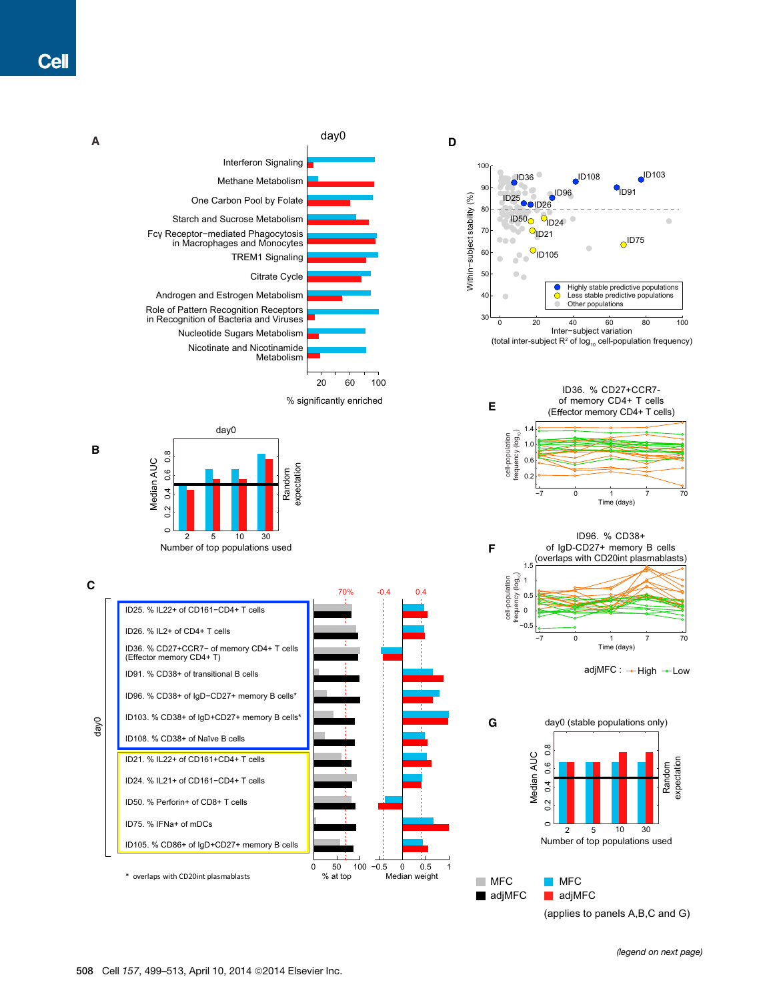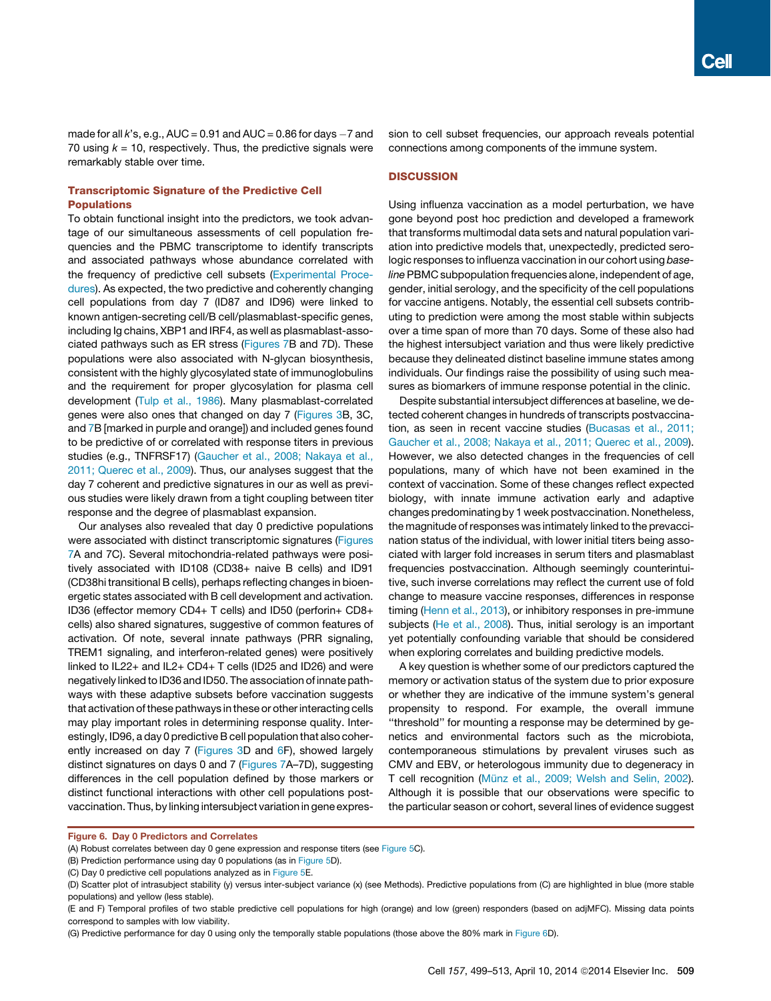made for all  $k$ 's, e.g.,  $AUC = 0.91$  and  $AUC = 0.86$  for days  $-7$  and 70 using  $k = 10$ , respectively. Thus, the predictive signals were remarkably stable over time.

# Transcriptomic Signature of the Predictive Cell **Populations**

To obtain functional insight into the predictors, we took advantage of our simultaneous assessments of cell population frequencies and the PBMC transcriptome to identify transcripts and associated pathways whose abundance correlated with the frequency of predictive cell subsets (Experimental Procedures). As expected, the two predictive and coherently changing cell populations from day 7 (ID87 and ID96) were linked to known antigen-secreting cell/B cell/plasmablast-specific genes, including Ig chains, XBP1 and IRF4, as well as plasmablast-associated pathways such as ER stress (Figures 7B and 7D). These populations were also associated with N-glycan biosynthesis, consistent with the highly glycosylated state of immunoglobulins and the requirement for proper glycosylation for plasma cell development (Tulp et al., 1986). Many plasmablast-correlated genes were also ones that changed on day 7 (Figures 3B, 3C, and 7B [marked in purple and orange]) and included genes found to be predictive of or correlated with response titers in previous studies (e.g., TNFRSF17) (Gaucher et al., 2008; Nakaya et al., 2011; Querec et al., 2009). Thus, our analyses suggest that the day 7 coherent and predictive signatures in our as well as previous studies were likely drawn from a tight coupling between titer response and the degree of plasmablast expansion.

Our analyses also revealed that day 0 predictive populations were associated with distinct transcriptomic signatures (Figures 7A and 7C). Several mitochondria-related pathways were positively associated with ID108 (CD38+ naive B cells) and ID91 (CD38hi transitional B cells), perhaps reflecting changes in bioenergetic states associated with B cell development and activation. ID36 (effector memory CD4+ T cells) and ID50 (perforin+ CD8+ cells) also shared signatures, suggestive of common features of activation. Of note, several innate pathways (PRR signaling, TREM1 signaling, and interferon-related genes) were positively linked to IL22+ and IL2+ CD4+ T cells (ID25 and ID26) and were negatively linked to ID36 and ID50. The association of innate pathways with these adaptive subsets before vaccination suggests that activation of these pathways in these or other interacting cells may play important roles in determining response quality. Interestingly, ID96, a day 0 predictive B cell population that also coherently increased on day 7 (Figures 3D and 6F), showed largely distinct signatures on days 0 and 7 (Figures 7A–7D), suggesting differences in the cell population defined by those markers or distinct functional interactions with other cell populations postvaccination. Thus, by linking intersubject variation in gene expression to cell subset frequencies, our approach reveals potential connections among components of the immune system.

## **DISCUSSION**

Using influenza vaccination as a model perturbation, we have gone beyond post hoc prediction and developed a framework that transforms multimodal data sets and natural population variation into predictive models that, unexpectedly, predicted serologic responses to influenza vaccination in our cohort using *baseline*PBMC subpopulation frequencies alone, independent of age, gender, initial serology, and the specificity of the cell populations for vaccine antigens. Notably, the essential cell subsets contributing to prediction were among the most stable within subjects over a time span of more than 70 days. Some of these also had the highest intersubject variation and thus were likely predictive because they delineated distinct baseline immune states among individuals. Our findings raise the possibility of using such measures as biomarkers of immune response potential in the clinic.

Despite substantial intersubject differences at baseline, we detected coherent changes in hundreds of transcripts postvaccination, as seen in recent vaccine studies (Bucasas et al., 2011; Gaucher et al., 2008; Nakaya et al., 2011; Querec et al., 2009). However, we also detected changes in the frequencies of cell populations, many of which have not been examined in the context of vaccination. Some of these changes reflect expected biology, with innate immune activation early and adaptive changes predominating by 1 week postvaccination. Nonetheless, the magnitude of responses was intimately linked to the prevaccination status of the individual, with lower initial titers being associated with larger fold increases in serum titers and plasmablast frequencies postvaccination. Although seemingly counterintuitive, such inverse correlations may reflect the current use of fold change to measure vaccine responses, differences in response timing (Henn et al., 2013), or inhibitory responses in pre-immune subjects (He et al., 2008). Thus, initial serology is an important yet potentially confounding variable that should be considered when exploring correlates and building predictive models.

A key question is whether some of our predictors captured the memory or activation status of the system due to prior exposure or whether they are indicative of the immune system's general propensity to respond. For example, the overall immune ''threshold'' for mounting a response may be determined by genetics and environmental factors such as the microbiota, contemporaneous stimulations by prevalent viruses such as CMV and EBV, or heterologous immunity due to degeneracy in T cell recognition (Münz et al., 2009; Welsh and Selin, 2002). Although it is possible that our observations were specific to the particular season or cohort, several lines of evidence suggest

Figure 6. Day 0 Predictors and Correlates

<sup>(</sup>A) Robust correlates between day 0 gene expression and response titers (see Figure 5C).

<sup>(</sup>B) Prediction performance using day 0 populations (as in Figure 5D).

<sup>(</sup>C) Day 0 predictive cell populations analyzed as in Figure 5E.

<sup>(</sup>D) Scatter plot of intrasubject stability (y) versus inter-subject variance (x) (see Methods). Predictive populations from (C) are highlighted in blue (more stable populations) and yellow (less stable).

<sup>(</sup>E and F) Temporal profiles of two stable predictive cell populations for high (orange) and low (green) responders (based on adjMFC). Missing data points correspond to samples with low viability.

<sup>(</sup>G) Predictive performance for day 0 using only the temporally stable populations (those above the 80% mark in Figure 6D).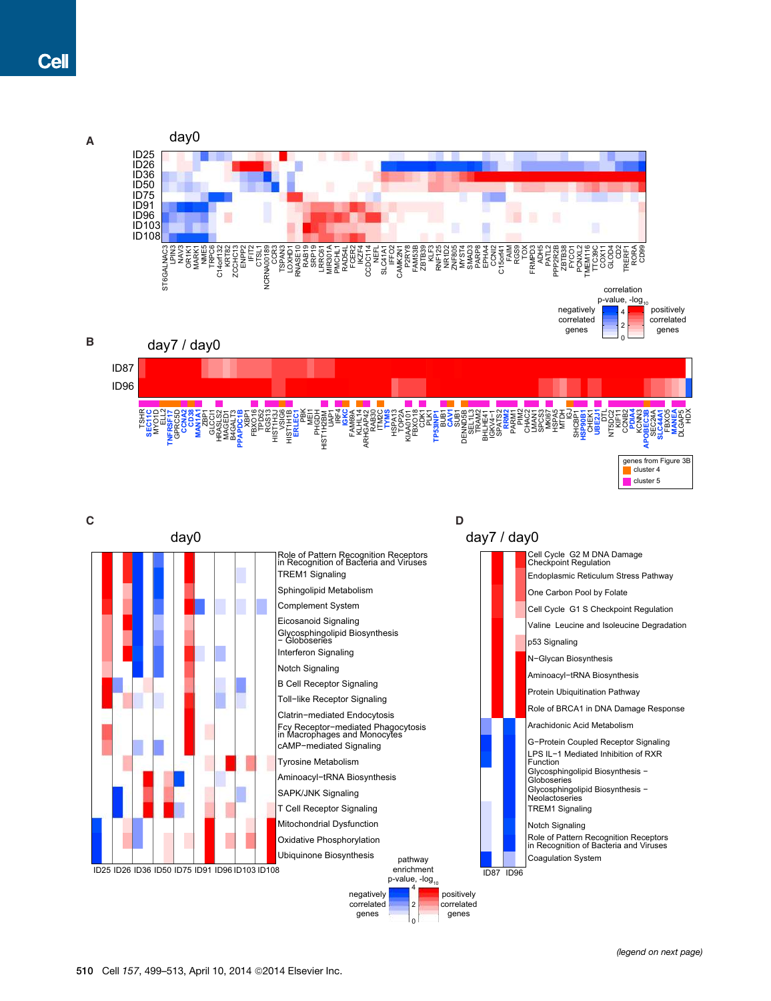

Mitochondrial Dysfunction Oxidative Phosphorylation Ubiquinone Biosynthesis

pathway enrichment p-value, -log<sub>10</sub>

4 2 0

negatively correlated genes

*(legend on next page)*

ID87 ID96

positively .<br>correlated genes

Notch Signaling

Coagulation System

Role of Pattern Recognition Receptors in Recognition of Bacteria and Viruses

ID25 ID26 ID36 ID50 ID75 ID91 ID96 ID103 ID108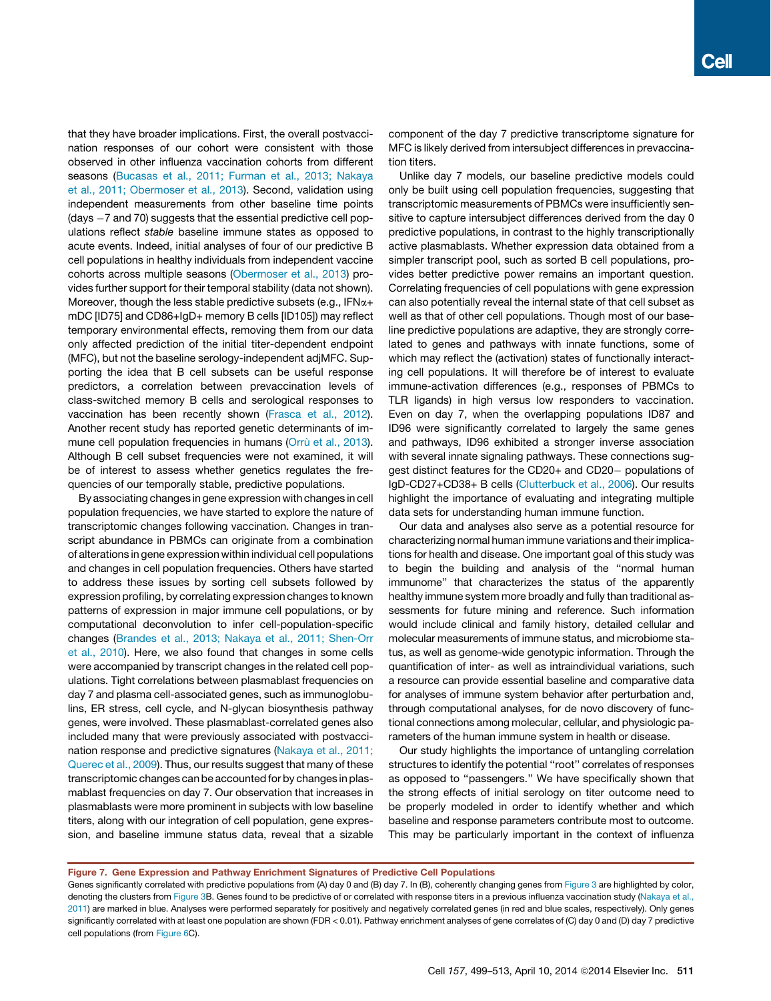that they have broader implications. First, the overall postvaccination responses of our cohort were consistent with those observed in other influenza vaccination cohorts from different seasons (Bucasas et al., 2011; Furman et al., 2013; Nakaya et al., 2011; Obermoser et al., 2013). Second, validation using independent measurements from other baseline time points (days  $-7$  and 70) suggests that the essential predictive cell populations reflect *stable* baseline immune states as opposed to acute events. Indeed, initial analyses of four of our predictive B cell populations in healthy individuals from independent vaccine cohorts across multiple seasons (Obermoser et al., 2013) provides further support for their temporal stability (data not shown). Moreover, though the less stable predictive subsets (e.g.,  $IFN\alpha+$ mDC [ID75] and CD86+IgD+ memory B cells [ID105]) may reflect temporary environmental effects, removing them from our data only affected prediction of the initial titer-dependent endpoint (MFC), but not the baseline serology-independent adjMFC. Supporting the idea that B cell subsets can be useful response predictors, a correlation between prevaccination levels of class-switched memory B cells and serological responses to vaccination has been recently shown (Frasca et al., 2012). Another recent study has reported genetic determinants of immune cell population frequencies in humans (Orrù et al., 2013). Although B cell subset frequencies were not examined, it will be of interest to assess whether genetics regulates the frequencies of our temporally stable, predictive populations.

By associating changes in gene expression with changes in cell population frequencies, we have started to explore the nature of transcriptomic changes following vaccination. Changes in transcript abundance in PBMCs can originate from a combination of alterations in gene expression within individual cell populations and changes in cell population frequencies. Others have started to address these issues by sorting cell subsets followed by expression profiling, by correlating expression changes to known patterns of expression in major immune cell populations, or by computational deconvolution to infer cell-population-specific changes (Brandes et al., 2013; Nakaya et al., 2011; Shen-Orr et al., 2010). Here, we also found that changes in some cells were accompanied by transcript changes in the related cell populations. Tight correlations between plasmablast frequencies on day 7 and plasma cell-associated genes, such as immunoglobulins, ER stress, cell cycle, and N-glycan biosynthesis pathway genes, were involved. These plasmablast-correlated genes also included many that were previously associated with postvaccination response and predictive signatures (Nakaya et al., 2011; Querec et al., 2009). Thus, our results suggest that many of these transcriptomic changes can be accounted for by changes in plasmablast frequencies on day 7. Our observation that increases in plasmablasts were more prominent in subjects with low baseline titers, along with our integration of cell population, gene expression, and baseline immune status data, reveal that a sizable MFC is likely derived from intersubject differences in prevaccination titers. Unlike day 7 models, our baseline predictive models could

only be built using cell population frequencies, suggesting that transcriptomic measurements of PBMCs were insufficiently sensitive to capture intersubject differences derived from the day 0 predictive populations, in contrast to the highly transcriptionally active plasmablasts. Whether expression data obtained from a simpler transcript pool, such as sorted B cell populations, provides better predictive power remains an important question. Correlating frequencies of cell populations with gene expression can also potentially reveal the internal state of that cell subset as well as that of other cell populations. Though most of our baseline predictive populations are adaptive, they are strongly correlated to genes and pathways with innate functions, some of which may reflect the (activation) states of functionally interacting cell populations. It will therefore be of interest to evaluate immune-activation differences (e.g., responses of PBMCs to TLR ligands) in high versus low responders to vaccination. Even on day 7, when the overlapping populations ID87 and ID96 were significantly correlated to largely the same genes and pathways, ID96 exhibited a stronger inverse association with several innate signaling pathways. These connections suggest distinct features for the CD20+ and CD20 populations of IgD-CD27+CD38+ B cells (Clutterbuck et al., 2006). Our results highlight the importance of evaluating and integrating multiple data sets for understanding human immune function.

Our data and analyses also serve as a potential resource for characterizing normal human immune variations and their implications for health and disease. One important goal of this study was to begin the building and analysis of the ''normal human immunome'' that characterizes the status of the apparently healthy immune system more broadly and fully than traditional assessments for future mining and reference. Such information would include clinical and family history, detailed cellular and molecular measurements of immune status, and microbiome status, as well as genome-wide genotypic information. Through the quantification of inter- as well as intraindividual variations, such a resource can provide essential baseline and comparative data for analyses of immune system behavior after perturbation and, through computational analyses, for de novo discovery of functional connections among molecular, cellular, and physiologic parameters of the human immune system in health or disease.

Our study highlights the importance of untangling correlation structures to identify the potential ''root'' correlates of responses as opposed to ''passengers.'' We have specifically shown that the strong effects of initial serology on titer outcome need to be properly modeled in order to identify whether and which baseline and response parameters contribute most to outcome. This may be particularly important in the context of influenza

Figure 7. Gene Expression and Pathway Enrichment Signatures of Predictive Cell Populations

Genes significantly correlated with predictive populations from (A) day 0 and (B) day 7. In (B), coherently changing genes from Figure 3 are highlighted by color, denoting the clusters from Figure 3B. Genes found to be predictive of or correlated with response titers in a previous influenza vaccination study (Nakaya et al., 2011) are marked in blue. Analyses were performed separately for positively and negatively correlated genes (in red and blue scales, respectively). Only genes significantly correlated with at least one population are shown (FDR < 0.01). Pathway enrichment analyses of gene correlates of (C) day 0 and (D) day 7 predictive cell populations (from Figure 6C).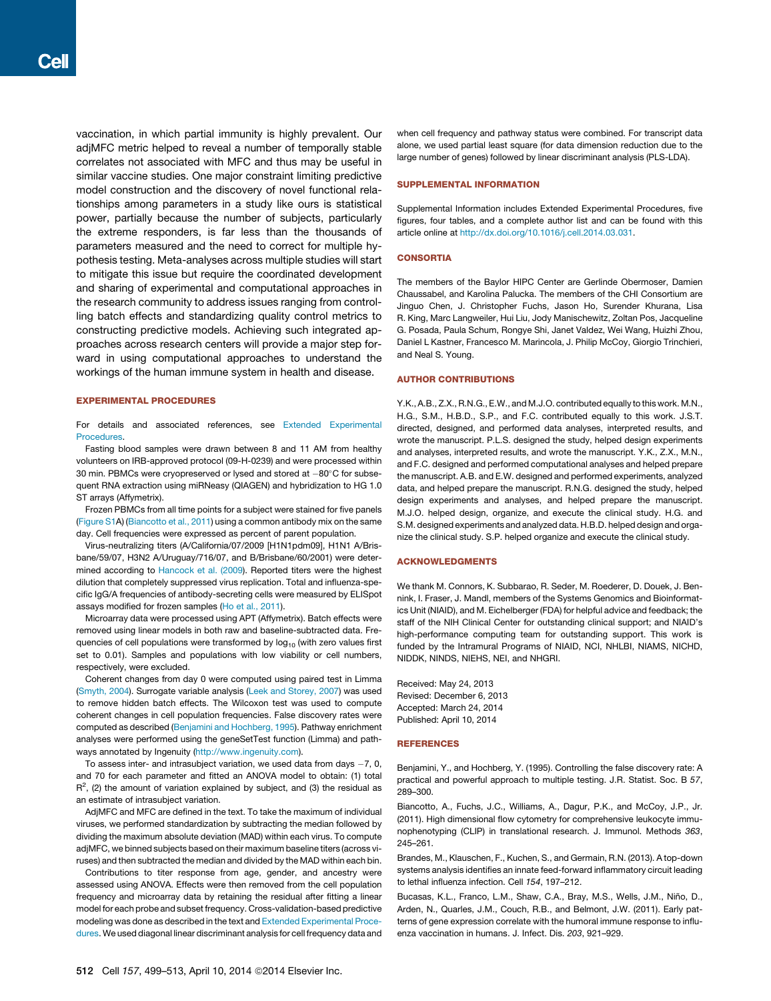vaccination, in which partial immunity is highly prevalent. Our adjMFC metric helped to reveal a number of temporally stable correlates not associated with MFC and thus may be useful in similar vaccine studies. One major constraint limiting predictive model construction and the discovery of novel functional relationships among parameters in a study like ours is statistical power, partially because the number of subjects, particularly the extreme responders, is far less than the thousands of parameters measured and the need to correct for multiple hypothesis testing. Meta-analyses across multiple studies will start to mitigate this issue but require the coordinated development and sharing of experimental and computational approaches in the research community to address issues ranging from controlling batch effects and standardizing quality control metrics to constructing predictive models. Achieving such integrated approaches across research centers will provide a major step forward in using computational approaches to understand the workings of the human immune system in health and disease.

## EXPERIMENTAL PROCEDURES

For details and associated references, see Extended Experimental Procedures.

Fasting blood samples were drawn between 8 and 11 AM from healthy volunteers on IRB-approved protocol (09-H-0239) and were processed within 30 min. PBMCs were cryopreserved or lysed and stored at  $-80^{\circ}$ C for subsequent RNA extraction using miRNeasy (QIAGEN) and hybridization to HG 1.0 ST arrays (Affymetrix).

Frozen PBMCs from all time points for a subject were stained for five panels (Figure S1A) (Biancotto et al., 2011) using a common antibody mix on the same day. Cell frequencies were expressed as percent of parent population.

Virus-neutralizing titers (A/California/07/2009 [H1N1pdm09], H1N1 A/Brisbane/59/07, H3N2 A/Uruguay/716/07, and B/Brisbane/60/2001) were determined according to Hancock et al. (2009). Reported titers were the highest dilution that completely suppressed virus replication. Total and influenza-specific IgG/A frequencies of antibody-secreting cells were measured by ELISpot assays modified for frozen samples (Ho et al., 2011).

Microarray data were processed using APT (Affymetrix). Batch effects were removed using linear models in both raw and baseline-subtracted data. Frequencies of cell populations were transformed by  $log<sub>10</sub>$  (with zero values first set to 0.01). Samples and populations with low viability or cell numbers, respectively, were excluded.

Coherent changes from day 0 were computed using paired test in Limma (Smyth, 2004). Surrogate variable analysis (Leek and Storey, 2007) was used to remove hidden batch effects. The Wilcoxon test was used to compute coherent changes in cell population frequencies. False discovery rates were computed as described (Benjamini and Hochberg, 1995). Pathway enrichment analyses were performed using the geneSetTest function (Limma) and pathways annotated by Ingenuity (http://www.ingenuity.com).

To assess inter- and intrasubject variation, we used data from days  $-7$ , 0, and 70 for each parameter and fitted an ANOVA model to obtain: (1) total  $R^2$ , (2) the amount of variation explained by subject, and (3) the residual as an estimate of intrasubject variation.

AdjMFC and MFC are defined in the text. To take the maximum of individual viruses, we performed standardization by subtracting the median followed by dividing the maximum absolute deviation (MAD) within each virus. To compute adjMFC, we binned subjects based on their maximum baseline titers (across viruses) and then subtracted the median and divided by the MAD within each bin.

Contributions to titer response from age, gender, and ancestry were assessed using ANOVA. Effects were then removed from the cell population frequency and microarray data by retaining the residual after fitting a linear model for each probe and subset frequency. Cross-validation-based predictive modeling was done as described in the text and Extended Experimental Procedures. We used diagonal linear discriminant analysis for cell frequency data and

#### SUPPLEMENTAL INFORMATION

Supplemental Information includes Extended Experimental Procedures, five figures, four tables, and a complete author list and can be found with this article online at http://dx.doi.org/10.1016/j.cell.2014.03.031.

#### **CONSORTIA**

The members of the Baylor HIPC Center are Gerlinde Obermoser, Damien Chaussabel, and Karolina Palucka. The members of the CHI Consortium are Jinguo Chen, J. Christopher Fuchs, Jason Ho, Surender Khurana, Lisa R. King, Marc Langweiler, Hui Liu, Jody Manischewitz, Zoltan Pos, Jacqueline G. Posada, Paula Schum, Rongye Shi, Janet Valdez, Wei Wang, Huizhi Zhou, Daniel L Kastner, Francesco M. Marincola, J. Philip McCoy, Giorgio Trinchieri, and Neal S. Young.

#### AUTHOR CONTRIBUTIONS

Y.K., A.B., Z.X., R.N.G., E.W., and M.J.O. contributed equally to this work. M.N., H.G., S.M., H.B.D., S.P., and F.C. contributed equally to this work. J.S.T. directed, designed, and performed data analyses, interpreted results, and wrote the manuscript. P.L.S. designed the study, helped design experiments and analyses, interpreted results, and wrote the manuscript. Y.K., Z.X., M.N., and F.C. designed and performed computational analyses and helped prepare the manuscript. A.B. and E.W. designed and performed experiments, analyzed data, and helped prepare the manuscript. R.N.G. designed the study, helped design experiments and analyses, and helped prepare the manuscript. M.J.O. helped design, organize, and execute the clinical study. H.G. and S.M. designed experiments and analyzed data. H.B.D. helped design and organize the clinical study. S.P. helped organize and execute the clinical study.

## ACKNOWLEDGMENTS

We thank M. Connors, K. Subbarao, R. Seder, M. Roederer, D. Douek, J. Bennink, I. Fraser, J. Mandl, members of the Systems Genomics and Bioinformatics Unit (NIAID), and M. Eichelberger (FDA) for helpful advice and feedback; the staff of the NIH Clinical Center for outstanding clinical support; and NIAID's high-performance computing team for outstanding support. This work is funded by the Intramural Programs of NIAID, NCI, NHLBI, NIAMS, NICHD, NIDDK, NINDS, NIEHS, NEI, and NHGRI.

Received: May 24, 2013 Revised: December 6, 2013 Accepted: March 24, 2014 Published: April 10, 2014

#### **REFERENCES**

Benjamini, Y., and Hochberg, Y. (1995). Controlling the false discovery rate: A practical and powerful approach to multiple testing. J.R. Statist. Soc. B *57*, 289–300.

Biancotto, A., Fuchs, J.C., Williams, A., Dagur, P.K., and McCoy, J.P., Jr. (2011). High dimensional flow cytometry for comprehensive leukocyte immunophenotyping (CLIP) in translational research. J. Immunol. Methods *363*, 245–261.

Brandes, M., Klauschen, F., Kuchen, S., and Germain, R.N. (2013). A top-down systems analysis identifies an innate feed-forward inflammatory circuit leading to lethal influenza infection. Cell *154*, 197–212.

Bucasas, K.L., Franco, L.M., Shaw, C.A., Bray, M.S., Wells, J.M., Niño, D., Arden, N., Quarles, J.M., Couch, R.B., and Belmont, J.W. (2011). Early patterns of gene expression correlate with the humoral immune response to influenza vaccination in humans. J. Infect. Dis. *203*, 921–929.